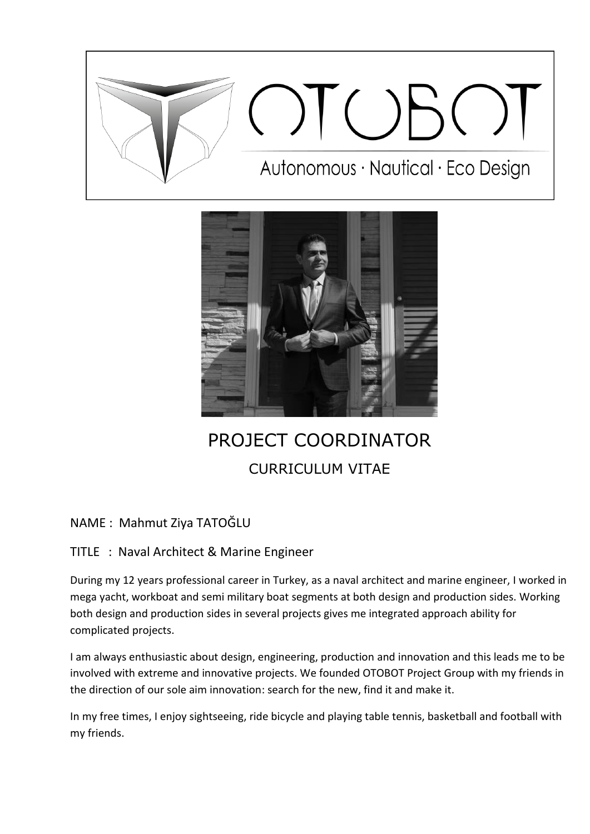



# PROJECT COORDINATOR CURRICULUM VITAE

## NAME : Mahmut Ziya TATOĞLU

## TITLE : Naval Architect & Marine Engineer

During my 12 years professional career in Turkey, as a naval architect and marine engineer, I worked in mega yacht, workboat and semi military boat segments at both design and production sides. Working both design and production sides in several projects gives me integrated approach ability for complicated projects.

I am always enthusiastic about design, engineering, production and innovation and this leads me to be involved with extreme and innovative projects. We founded OTOBOT Project Group with my friends in the direction of our sole aim innovation: search for the new, find it and make it.

In my free times, I enjoy sightseeing, ride bicycle and playing table tennis, basketball and football with my friends.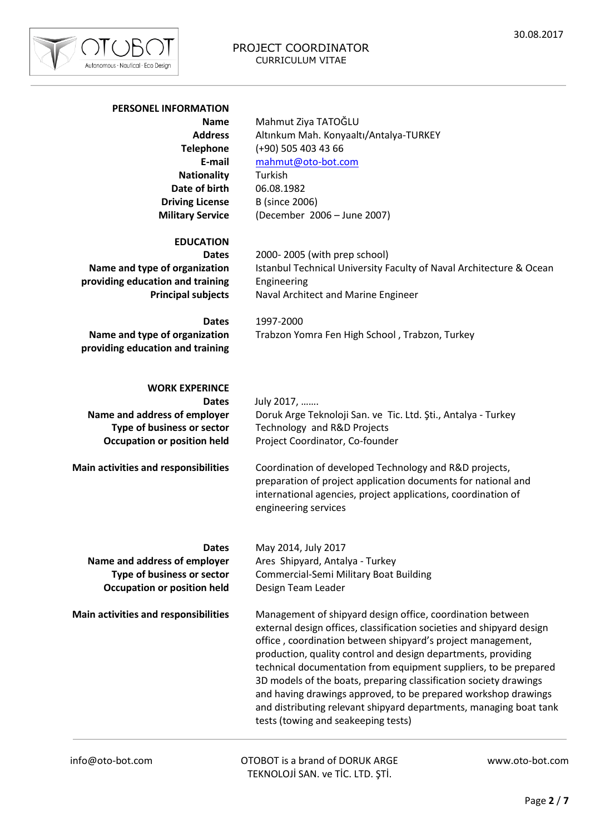

### PROJECT COORDINATOR CURRICULUM VITAE

#### **PERSONEL INFORMATION**

**Name Address Telephone E-mail Nationality Date of birth Driving License Military Service**

Mahmut Ziya TATOĞLU Altınkum Mah. Konyaaltı/Antalya-TURKEY (+90) 505 403 43 66 [mahmut@oto-bot.com](mailto:mahmut@oto-bot.com) Turkish 06.08.1982 B (since 2006) (December 2006 – June 2007)

#### **EDUCATION**

**Dates Name and type of organization providing education and training Principal subjects** 2000- 2005 (with prep school) Istanbul Technical University Faculty of Naval Architecture & Ocean Engineering Naval Architect and Marine Engineer

**Dates Name and type of organization providing education and training** 1997-2000 Trabzon Yomra Fen High School , Trabzon, Turkey

## **WORK EXPERINCE**

**Dates Name and address of employer Type of business or sector Occupation or position held** July 2017, …….

Doruk Arge Teknoloji San. ve Tic. Ltd. Şti., Antalya - Turkey Technology and R&D Projects Project Coordinator, Co-founder

**Main activities and responsibilities**

Coordination of developed Technology and R&D projects, preparation of project application documents for national and international agencies, project applications, coordination of engineering services

**Dates**

**Name and address of employer Type of business or sector Occupation or position held**

**Main activities and responsibilities**

May 2014, July 2017 Ares Shipyard, Antalya - Turkey Commercial-Semi Military Boat Building Design Team Leader

Management of shipyard design office, coordination between external design offices, classification societies and shipyard design office , coordination between shipyard's project management, production, quality control and design departments, providing technical documentation from equipment suppliers, to be prepared 3D models of the boats, preparing classification society drawings and having drawings approved, to be prepared workshop drawings and distributing relevant shipyard departments, managing boat tank tests (towing and seakeeping tests)

info@oto-bot.com OTOBOT is a brand of DORUK ARGE TEKNOLOJİ SAN. ve TİC. LTD. ŞTİ.

www.oto-bot.com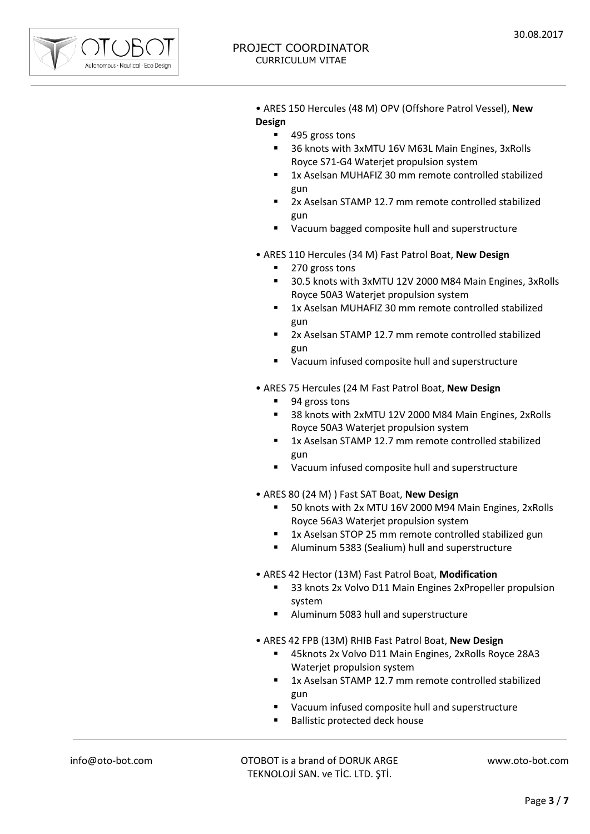

• ARES 150 Hercules (48 M) OPV (Offshore Patrol Vessel), **New Design**

- 495 gross tons
- 36 knots with 3xMTU 16V M63L Main Engines, 3xRolls Royce S71-G4 Waterjet propulsion system
- 1x Aselsan MUHAFIZ 30 mm remote controlled stabilized gun
- 2x Aselsan STAMP 12.7 mm remote controlled stabilized gun
- Vacuum bagged composite hull and superstructure
- ARES 110 Hercules (34 M) Fast Patrol Boat, **New Design**
	- 270 gross tons
	- 30.5 knots with 3xMTU 12V 2000 M84 Main Engines, 3xRolls Royce 50A3 Waterjet propulsion system
	- 1x Aselsan MUHAFIZ 30 mm remote controlled stabilized gun
	- 2x Aselsan STAMP 12.7 mm remote controlled stabilized gun
	- Vacuum infused composite hull and superstructure
- ARES 75 Hercules (24 M Fast Patrol Boat, **New Design**
	- 94 gross tons
	- 38 knots with 2xMTU 12V 2000 M84 Main Engines, 2xRolls Royce 50A3 Waterjet propulsion system
	- 1x Aselsan STAMP 12.7 mm remote controlled stabilized gun
	- Vacuum infused composite hull and superstructure
- ARES 80 (24 M) ) Fast SAT Boat, **New Design**
	- 50 knots with 2x MTU 16V 2000 M94 Main Engines, 2xRolls Royce 56A3 Waterjet propulsion system
	- 1x Aselsan STOP 25 mm remote controlled stabilized gun
	- Aluminum 5383 (Sealium) hull and superstructure
- ARES 42 Hector (13M) Fast Patrol Boat, **Modification**
	- 33 knots 2x Volvo D11 Main Engines 2xPropeller propulsion system
	- Aluminum 5083 hull and superstructure
- ARES 42 FPB (13M) RHIB Fast Patrol Boat, **New Design**
	- 45knots 2x Volvo D11 Main Engines, 2xRolls Royce 28A3 Waterjet propulsion system
	- 1x Aselsan STAMP 12.7 mm remote controlled stabilized gun
	- Vacuum infused composite hull and superstructure
	- Ballistic protected deck house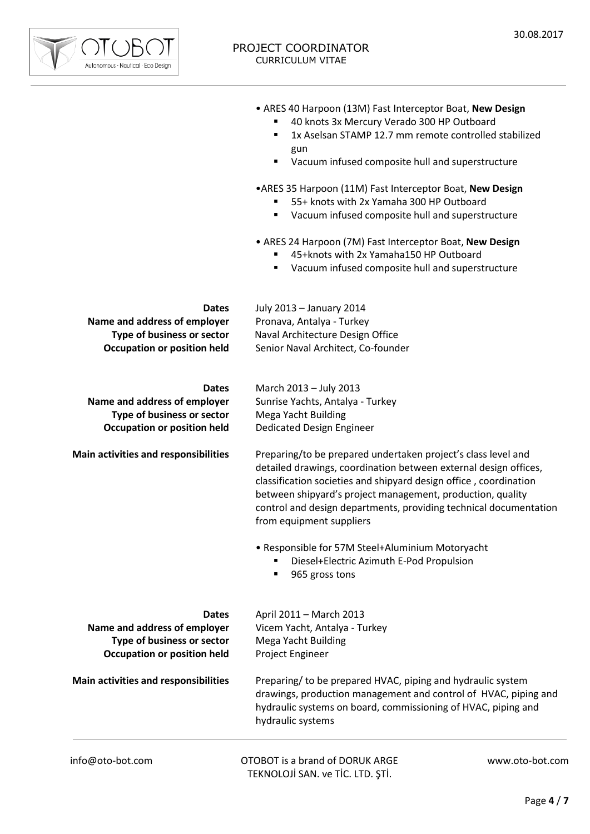

info@oto-bot.com OTOBOT is a brand of DORUK ARGE www.oto-bot.com **Dates Name and address of employer Type of business or sector Occupation or position held Dates Name and address of employer Type of business or sector Occupation or position held Main activities and responsibilities Dates Name and address of employer Type of business or sector Occupation or position held Main activities and responsibilities** • ARES 40 Harpoon (13M) Fast Interceptor Boat, **New Design** 40 knots 3x Mercury Verado 300 HP Outboard 1x Aselsan STAMP 12.7 mm remote controlled stabilized gun Vacuum infused composite hull and superstructure •ARES 35 Harpoon (11M) Fast Interceptor Boat, **New Design** 55+ knots with 2x Yamaha 300 HP Outboard Vacuum infused composite hull and superstructure • ARES 24 Harpoon (7M) Fast Interceptor Boat, **New Design** 45+knots with 2x Yamaha150 HP Outboard Vacuum infused composite hull and superstructure July 2013 – January 2014 Pronava, Antalya - Turkey Naval Architecture Design Office Senior Naval Architect, Co-founder March 2013 – July 2013 Sunrise Yachts, Antalya - Turkey Mega Yacht Building Dedicated Design Engineer Preparing/to be prepared undertaken project's class level and detailed drawings, coordination between external design offices, classification societies and shipyard design office , coordination between shipyard's project management, production, quality control and design departments, providing technical documentation from equipment suppliers • Responsible for 57M Steel+Aluminium Motoryacht ■ Diesel+Electric Azimuth E-Pod Propulsion 965 gross tons April 2011 – March 2013 Vicem Yacht, Antalya - Turkey Mega Yacht Building Project Engineer Preparing/ to be prepared HVAC, piping and hydraulic system drawings, production management and control of HVAC, piping and hydraulic systems on board, commissioning of HVAC, piping and hydraulic systems

TEKNOLOJİ SAN. ve TİC. LTD. ŞTİ.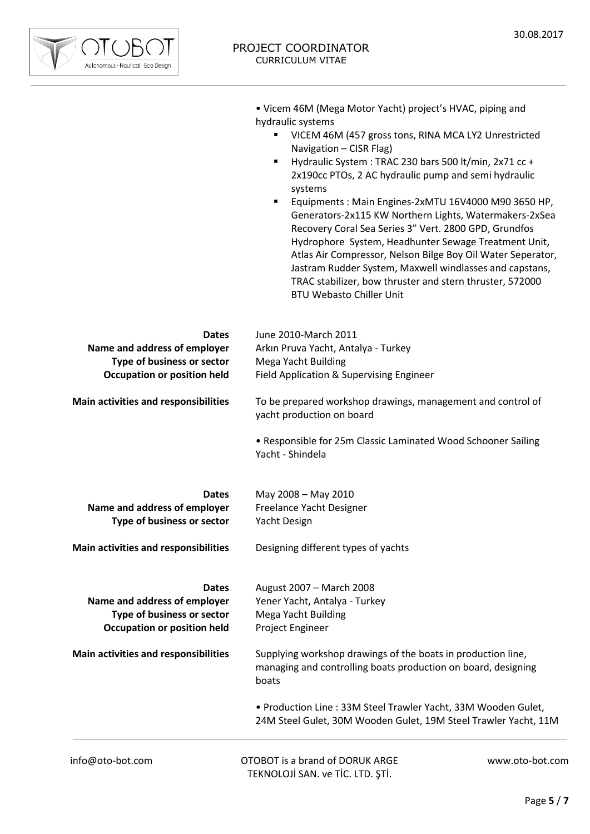

• Vicem 46M (Mega Motor Yacht) project's HVAC, piping and hydraulic systems

- **UICEM 46M (457 gross tons, RINA MCA LY2 Unrestricted** Navigation – CISR Flag)
- Hydraulic System : TRAC 230 bars 500 lt/min, 2x71 cc + 2x190cc PTOs, 2 AC hydraulic pump and semi hydraulic systems
- Equipments : Main Engines-2xMTU 16V4000 M90 3650 HP, Generators-2x115 KW Northern Lights, Watermakers-2xSea Recovery Coral Sea Series 3" Vert. 2800 GPD, Grundfos Hydrophore System, Headhunter Sewage Treatment Unit, Atlas Air Compressor, Nelson Bilge Boy Oil Water Seperator, Jastram Rudder System, Maxwell windlasses and capstans, TRAC stabilizer, bow thruster and stern thruster, 572000 BTU Webasto Chiller Unit

| <b>Dates</b><br>Name and address of employer<br>Type of business or sector<br><b>Occupation or position held</b> | June 2010-March 2011<br>Arkın Pruva Yacht, Antalya - Turkey<br>Mega Yacht Building<br>Field Application & Supervising Engineer         |                 |
|------------------------------------------------------------------------------------------------------------------|----------------------------------------------------------------------------------------------------------------------------------------|-----------------|
| Main activities and responsibilities                                                                             | To be prepared workshop drawings, management and control of<br>yacht production on board                                               |                 |
|                                                                                                                  | • Responsible for 25m Classic Laminated Wood Schooner Sailing<br>Yacht - Shindela                                                      |                 |
| <b>Dates</b><br>Name and address of employer<br>Type of business or sector                                       | May 2008 - May 2010<br>Freelance Yacht Designer<br>Yacht Design                                                                        |                 |
| Main activities and responsibilities                                                                             | Designing different types of yachts                                                                                                    |                 |
| <b>Dates</b><br>Name and address of employer<br>Type of business or sector<br><b>Occupation or position held</b> | August 2007 - March 2008<br>Yener Yacht, Antalya - Turkey<br>Mega Yacht Building<br>Project Engineer                                   |                 |
| Main activities and responsibilities                                                                             | Supplying workshop drawings of the boats in production line,<br>managing and controlling boats production on board, designing<br>boats |                 |
|                                                                                                                  | • Production Line: 33M Steel Trawler Yacht, 33M Wooden Gulet,<br>24M Steel Gulet, 30M Wooden Gulet, 19M Steel Trawler Yacht, 11M       |                 |
| info@oto-bot.com                                                                                                 | OTOBOT is a brand of DORUK ARGE<br>TEKNOLOJİ SAN. ve TİC. LTD. ŞTİ.                                                                    | www.oto-bot.com |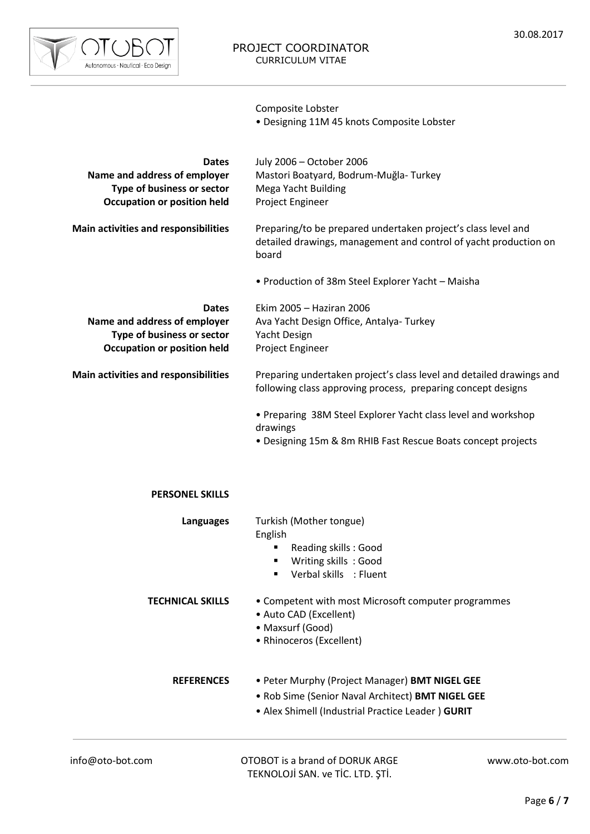

Composite Lobster

• Designing 11M 45 knots Composite Lobster

| <b>Dates</b><br>Name and address of employer<br>Type of business or sector<br><b>Occupation or position held</b> | July 2006 - October 2006<br>Mastori Boatyard, Bodrum-Muğla-Turkey<br>Mega Yacht Building<br>Project Engineer                               |
|------------------------------------------------------------------------------------------------------------------|--------------------------------------------------------------------------------------------------------------------------------------------|
| Main activities and responsibilities                                                                             | Preparing/to be prepared undertaken project's class level and<br>detailed drawings, management and control of yacht production on<br>board |
|                                                                                                                  | • Production of 38m Steel Explorer Yacht - Maisha                                                                                          |
| <b>Dates</b><br>Name and address of employer<br>Type of business or sector<br><b>Occupation or position held</b> | Ekim 2005 - Haziran 2006<br>Ava Yacht Design Office, Antalya-Turkey<br>Yacht Design<br>Project Engineer                                    |
| Main activities and responsibilities                                                                             | Preparing undertaken project's class level and detailed drawings and<br>following class approving process, preparing concept designs       |
|                                                                                                                  | • Preparing 38M Steel Explorer Yacht class level and workshop<br>drawings<br>· Designing 15m & 8m RHIB Fast Rescue Boats concept projects  |
| <b>PERSONEL SKILLS</b>                                                                                           |                                                                                                                                            |
| <b>Languages</b>                                                                                                 | Turkish (Mother tongue)<br>English<br>Reading skills: Good<br>Writing skills: Good<br>Verbal skills : Fluent                               |
| <b>TECHNICAL SKILLS</b>                                                                                          | • Competent with most Microsoft computer programmes<br>• Auto CAD (Excellent)<br>• Maxsurf (Good)<br>• Rhinoceros (Excellent)              |

**REFERENCES** • Peter Murphy (Project Manager) **BMT NIGEL GEE**

- Rob Sime (Senior Naval Architect) **BMT NIGEL GEE**
- Alex Shimell (Industrial Practice Leader ) **GURIT**

www.oto-bot.com